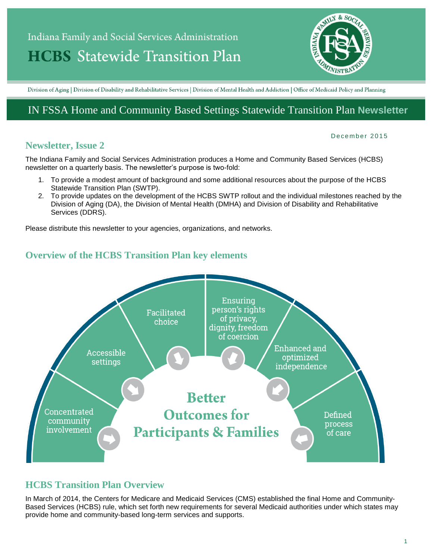# Indiana Family and Social Services Administration **HCBS** Statewide Transition Plan



Division of Aging | Division of Disability and Rehabilitative Services | Division of Mental Health and Addiction | Office of Medicaid Policy and Planning

# IN FSSA Home and Community Based Settings Statewide Transition Plan **Newsletter**

#### **Newsletter, Issue 2**

#### December 2015

The Indiana Family and Social Services Administration produces a Home and Community Based Services (HCBS) newsletter on a quarterly basis. The newsletter's purpose is two-fold:

- 1. To provide a modest amount of background and some additional resources about the purpose of the HCBS Statewide Transition Plan (SWTP).
- 2. To provide updates on the development of the HCBS SWTP rollout and the individual milestones reached by the Division of Aging (DA), the Division of Mental Health (DMHA) and Division of Disability and Rehabilitative Services (DDRS).

Please distribute this newsletter to your agencies, organizations, and networks.

## **Overview of the HCBS Transition Plan key elements**



### **HCBS Transition Plan Overview**

In March of 2014, the Centers for Medicare and Medicaid Services (CMS) established the final Home and Community-Based Services (HCBS) rule, which set forth new requirements for several Medicaid authorities under which states may provide home and community-based long-term services and supports.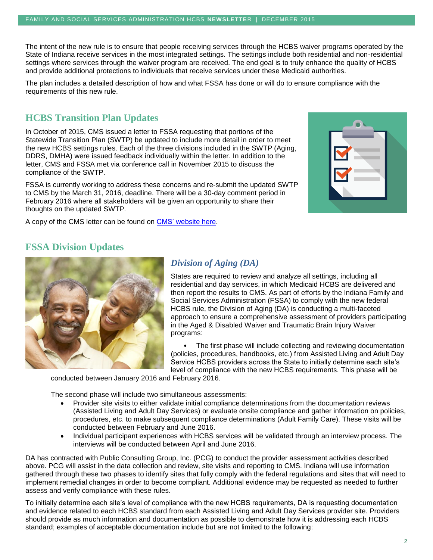The intent of the new rule is to ensure that people receiving services through the HCBS waiver programs operated by the State of Indiana receive services in the most integrated settings. The settings include both residential and non-residential settings where services through the waiver program are received. The end goal is to truly enhance the quality of HCBS and provide additional protections to individuals that receive services under these Medicaid authorities.

The plan includes a detailed description of how and what FSSA has done or will do to ensure compliance with the requirements of this new rule.

## **HCBS Transition Plan Updates**

In October of 2015, CMS issued a letter to FSSA requesting that portions of the Statewide Transition Plan (SWTP) be updated to include more detail in order to meet the new HCBS settings rules. Each of the three divisions included in the SWTP (Aging, DDRS, DMHA) were issued feedback individually within the letter. In addition to the letter, CMS and FSSA met via conference call in November 2015 to discuss the compliance of the SWTP.

FSSA is currently working to address these concerns and re-submit the updated SWTP to CMS by the March 31, 2016, deadline. There will be a 30-day comment period in February 2016 where all stakeholders will be given an opportunity to share their thoughts on the updated SWTP.

A copy of the CMS letter can be found on [CMS' website here.](http://www.medicaid.gov/medicaid-chip-program-information/by-topics/long-term-services-and-supports/home-and-community-based-services/downloads/in/in-cmia.pdf)



#### **FSSA Division Updates**



#### *Division of Aging (DA)*

States are required to review and analyze all settings, including all residential and day services, in which Medicaid HCBS are delivered and then report the results to CMS. As part of efforts by the Indiana Family and Social Services Administration (FSSA) to comply with the new federal HCBS rule, the Division of Aging (DA) is conducting a multi-faceted approach to ensure a comprehensive assessment of providers participating in the Aged & Disabled Waiver and Traumatic Brain Injury Waiver programs:

The first phase will include collecting and reviewing documentation (policies, procedures, handbooks, etc.) from Assisted Living and Adult Day Service HCBS providers across the State to initially determine each site's level of compliance with the new HCBS requirements. This phase will be

conducted between January 2016 and February 2016.

The second phase will include two simultaneous assessments:

- Provider site visits to either validate initial compliance determinations from the documentation reviews (Assisted Living and Adult Day Services) or evaluate onsite compliance and gather information on policies, procedures, etc. to make subsequent compliance determinations (Adult Family Care). These visits will be conducted between February and June 2016.
- Individual participant experiences with HCBS services will be validated through an interview process. The interviews will be conducted between April and June 2016.

DA has contracted with Public Consulting Group, Inc. (PCG) to conduct the provider assessment activities described above. PCG will assist in the data collection and review, site visits and reporting to CMS. Indiana will use information gathered through these two phases to identify sites that fully comply with the federal regulations and sites that will need to implement remedial changes in order to become compliant. Additional evidence may be requested as needed to further assess and verify compliance with these rules.

To initially determine each site's level of compliance with the new HCBS requirements, DA is requesting documentation and evidence related to each HCBS standard from each Assisted Living and Adult Day Services provider site. Providers should provide as much information and documentation as possible to demonstrate how it is addressing each HCBS standard; examples of acceptable documentation include but are not limited to the following: